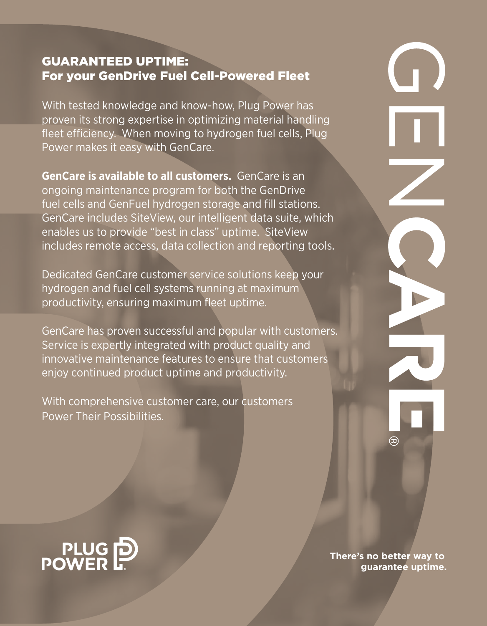# GUARANTEED UPTIME: For your GenDrive Fuel Cell-Powered Fleet

With tested knowledge and know-how, Plug Power has proven its strong expertise in optimizing material handling fleet efficiency. When moving to hydrogen fuel cells, Plug Power makes it easy with GenCare.

**GenCare is available to all customers.** GenCare is an ongoing maintenance program for both the GenDrive fuel cells and GenFuel hydrogen storage and fill stations. GenCare includes SiteView, our intelligent data suite, which enables us to provide "best in class" uptime. SiteView includes remote access, data collection and reporting tools.

Dedicated GenCare customer service solutions keep your hydrogen and fuel cell systems running at maximum productivity, ensuring maximum fleet uptime.

GenCare has proven successful and popular with customers. Service is expertly integrated with product quality and innovative maintenance features to ensure that customers enjoy continued product uptime and productivity.

With comprehensive customer care, our customers Power Their Possibilities.

PLUG<sub>D</sub><br>POWER

**There's no better way to guarantee uptime.**